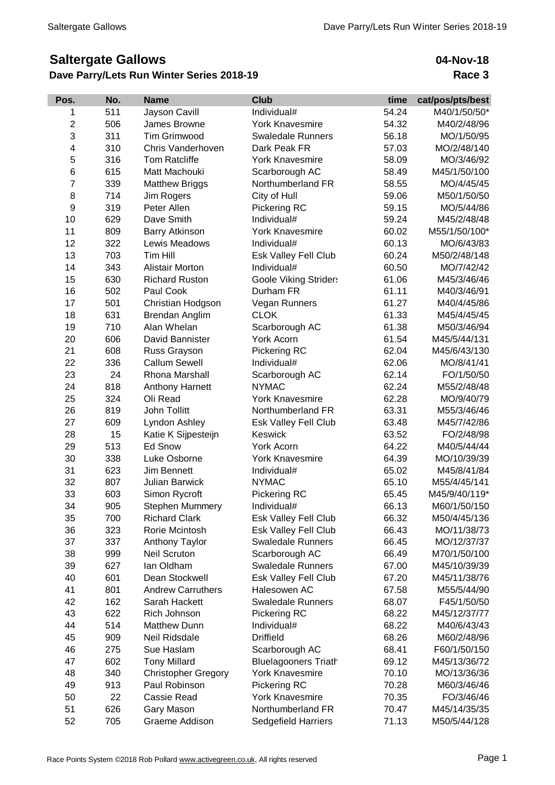## **Saltergate Gallows**

## **Dave Parry/Lets Run Winter Series 2018-19**

## **04-Nov-18 Race 3**

| Pos.                                                                         | time<br>cat/pos/pts/best |
|------------------------------------------------------------------------------|--------------------------|
| 511<br>Individual#<br>54.24<br>Jayson Cavill<br>1                            | M40/1/50/50*             |
| $\overline{2}$<br><b>York Knavesmire</b><br>506<br>James Browne<br>54.32     | M40/2/48/96              |
| 3<br>311<br><b>Tim Grimwood</b><br><b>Swaledale Runners</b><br>56.18         | MO/1/50/95               |
| 4<br>310<br>Chris Vanderhoven<br>Dark Peak FR<br>57.03                       | MO/2/48/140              |
| 5<br>316<br><b>York Knavesmire</b><br><b>Tom Ratcliffe</b><br>58.09          | MO/3/46/92               |
| 6<br>615<br>Matt Machouki<br>Scarborough AC<br>58.49                         | M45/1/50/100             |
| $\overline{7}$<br>339<br><b>Matthew Briggs</b><br>Northumberland FR<br>58.55 | MO/4/45/45               |
| 8<br>714<br>Jim Rogers<br>City of Hull<br>59.06                              | M50/1/50/50              |
| 9<br>319<br>Peter Allen<br>Pickering RC<br>59.15                             | MO/5/44/86               |
| Dave Smith<br>10<br>629<br>Individual#<br>59.24                              | M45/2/48/48              |
| 11<br>809<br><b>Barry Atkinson</b><br><b>York Knavesmire</b><br>60.02        | M55/1/50/100*            |
| 322<br>12<br>Individual#<br>60.13<br>Lewis Meadows                           | MO/6/43/83               |
| 703<br>13<br>Tim Hill<br>60.24<br>Esk Valley Fell Club                       | M50/2/48/148             |
| 14<br>343<br>60.50<br><b>Alistair Morton</b><br>Individual#                  | MO/7/42/42               |
| 15<br>630<br><b>Richard Ruston</b><br><b>Goole Viking Striders</b><br>61.06  | M45/3/46/46              |
| 16<br>502<br>Paul Cook<br>61.11<br>Durham FR                                 | M40/3/46/91              |
| 17<br>501<br>61.27<br>Christian Hodgson<br>Vegan Runners                     | M40/4/45/86              |
| 18<br>631<br>Brendan Anglim<br><b>CLOK</b><br>61.33                          | M45/4/45/45              |
| 19<br>710<br>Alan Whelan<br>Scarborough AC<br>61.38                          | M50/3/46/94              |
| 20<br>606<br>David Bannister<br>61.54<br>York Acorn                          | M45/5/44/131             |
| 21<br>608<br>62.04<br>Russ Grayson<br>Pickering RC                           | M45/6/43/130             |
| 22<br>336<br><b>Callum Sewell</b><br>Individual#<br>62.06                    | MO/8/41/41               |
| 23<br>24<br>Rhona Marshall<br>62.14<br>Scarborough AC                        | FO/1/50/50               |
| 24<br>818<br><b>NYMAC</b><br>62.24<br><b>Anthony Harnett</b>                 | M55/2/48/48              |
| Oli Read<br>25<br>324<br><b>York Knavesmire</b><br>62.28                     | MO/9/40/79               |
| 26<br>819<br>John Tollitt<br>Northumberland FR<br>63.31                      | M55/3/46/46              |
| 27<br>609<br>Lyndon Ashley<br>Esk Valley Fell Club<br>63.48                  | M45/7/42/86              |
| 28<br>15<br>Katie K Sijpesteijn<br>Keswick<br>63.52                          | FO/2/48/98               |
| 29<br>513<br>Ed Snow<br>York Acorn<br>64.22                                  | M40/5/44/44              |
| 30<br>338<br>Luke Osborne<br><b>York Knavesmire</b><br>64.39                 | MO/10/39/39              |
| 31<br>623<br>Jim Bennett<br>Individual#<br>65.02                             | M45/8/41/84              |
| 32<br>807<br><b>Julian Barwick</b><br><b>NYMAC</b><br>65.10                  | M55/4/45/141             |
| 33<br>603<br>Simon Rycroft<br>65.45<br>Pickering RC                          | M45/9/40/119*            |
| 34<br>905<br><b>Stephen Mummery</b><br>Individual#<br>66.13                  | M60/1/50/150             |
| 35<br><b>Richard Clark</b><br>66.32<br>700<br>Esk Valley Fell Club           | M50/4/45/136             |
| 36<br>323<br>Rorie Mcintosh<br>Esk Valley Fell Club<br>66.43                 | MO/11/38/73              |
| 37<br>337<br><b>Anthony Taylor</b><br><b>Swaledale Runners</b><br>66.45      | MO/12/37/37              |
| 38<br>999<br><b>Neil Scruton</b><br>Scarborough AC<br>66.49                  | M70/1/50/100             |
| 39<br>627<br>lan Oldham<br><b>Swaledale Runners</b><br>67.00                 | M45/10/39/39             |
| 40<br>601<br>Dean Stockwell<br>Esk Valley Fell Club<br>67.20                 | M45/11/38/76             |
| 41<br>801<br><b>Andrew Carruthers</b><br>Halesowen AC<br>67.58               | M55/5/44/90              |
| 42<br>162<br>Sarah Hackett<br><b>Swaledale Runners</b><br>68.07              | F45/1/50/50              |
| 43<br>622<br>Rich Johnson<br>Pickering RC<br>68.22                           | M45/12/37/77             |
| 44<br>514<br><b>Matthew Dunn</b><br>Individual#<br>68.22                     | M40/6/43/43              |
| 45<br>Neil Ridsdale<br><b>Driffield</b><br>909<br>68.26                      | M60/2/48/96              |
| 46<br>275<br>Sue Haslam<br>Scarborough AC<br>68.41                           | F60/1/50/150             |
| 602<br>47<br><b>Tony Millard</b><br><b>Bluelagooners Triath</b><br>69.12     | M45/13/36/72             |
| 48<br>340<br><b>York Knavesmire</b><br>70.10<br><b>Christopher Gregory</b>   | MO/13/36/36              |
| 49<br>913<br>Paul Robinson<br>Pickering RC<br>70.28                          | M60/3/46/46              |
| 50<br>22<br>Cassie Read<br><b>York Knavesmire</b><br>70.35                   | FO/3/46/46               |
| Northumberland FR<br>51<br>626<br>Gary Mason<br>70.47                        | M45/14/35/35             |
| 52<br>705<br>Graeme Addison<br>Sedgefield Harriers<br>71.13                  | M50/5/44/128             |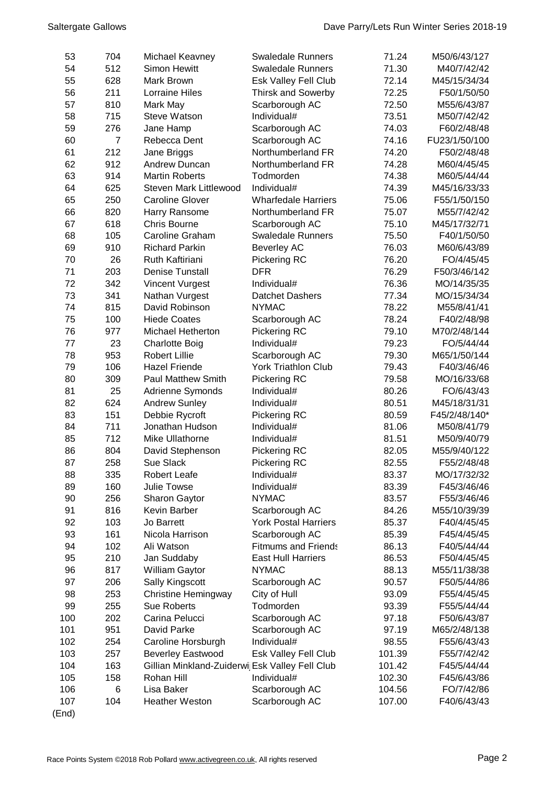| 53         | 704 | Michael Keavney                                | <b>Swaledale Runners</b>    | 71.24  | M50/6/43/127  |
|------------|-----|------------------------------------------------|-----------------------------|--------|---------------|
| 54         | 512 | Simon Hewitt                                   | <b>Swaledale Runners</b>    | 71.30  | M40/7/42/42   |
| 55         | 628 | Mark Brown                                     | Esk Valley Fell Club        | 72.14  | M45/15/34/34  |
| 56         | 211 | <b>Lorraine Hiles</b>                          | <b>Thirsk and Sowerby</b>   | 72.25  | F50/1/50/50   |
| 57         | 810 | Mark May                                       | Scarborough AC              | 72.50  | M55/6/43/87   |
| 58         | 715 | <b>Steve Watson</b>                            | Individual#                 | 73.51  | M50/7/42/42   |
| 59         | 276 | Jane Hamp                                      | Scarborough AC              | 74.03  | F60/2/48/48   |
| 60         | 7   | Rebecca Dent                                   | Scarborough AC              | 74.16  | FU23/1/50/100 |
| 61         | 212 | Jane Briggs                                    | Northumberland FR           | 74.20  | F50/2/48/48   |
| 62         | 912 | <b>Andrew Duncan</b>                           | Northumberland FR           | 74.28  | M60/4/45/45   |
| 63         | 914 | <b>Martin Roberts</b>                          | Todmorden                   | 74.38  | M60/5/44/44   |
| 64         | 625 | Steven Mark Littlewood                         | Individual#                 | 74.39  | M45/16/33/33  |
| 65         | 250 | <b>Caroline Glover</b>                         | <b>Wharfedale Harriers</b>  | 75.06  | F55/1/50/150  |
| 66         | 820 | Harry Ransome                                  | Northumberland FR           | 75.07  | M55/7/42/42   |
| 67         | 618 | <b>Chris Bourne</b>                            |                             |        |               |
|            |     |                                                | Scarborough AC              | 75.10  | M45/17/32/71  |
| 68         | 105 | Caroline Graham                                | <b>Swaledale Runners</b>    | 75.50  | F40/1/50/50   |
| 69         | 910 | <b>Richard Parkin</b>                          | <b>Beverley AC</b>          | 76.03  | M60/6/43/89   |
| 70         | 26  | Ruth Kaftiriani                                | Pickering RC                | 76.20  | FO/4/45/45    |
| 71         | 203 | <b>Denise Tunstall</b>                         | <b>DFR</b>                  | 76.29  | F50/3/46/142  |
| 72         | 342 | Vincent Vurgest                                | Individual#                 | 76.36  | MO/14/35/35   |
| 73         | 341 | Nathan Vurgest                                 | <b>Datchet Dashers</b>      | 77.34  | MO/15/34/34   |
| 74         | 815 | David Robinson                                 | <b>NYMAC</b>                | 78.22  | M55/8/41/41   |
| 75         | 100 | <b>Hiede Coates</b>                            | Scarborough AC              | 78.24  | F40/2/48/98   |
| 76         | 977 | <b>Michael Hetherton</b>                       | Pickering RC                | 79.10  | M70/2/48/144  |
| 77         | 23  | <b>Charlotte Boig</b>                          | Individual#                 | 79.23  | FO/5/44/44    |
| 78         | 953 | <b>Robert Lillie</b>                           | Scarborough AC              | 79.30  | M65/1/50/144  |
| 79         | 106 | <b>Hazel Friende</b>                           | <b>York Triathlon Club</b>  | 79.43  | F40/3/46/46   |
| 80         | 309 | <b>Paul Matthew Smith</b>                      | Pickering RC                | 79.58  | MO/16/33/68   |
| 81         | 25  | Adrienne Symonds                               | Individual#                 | 80.26  | FO/6/43/43    |
| 82         | 624 | <b>Andrew Sunley</b>                           | Individual#                 | 80.51  | M45/18/31/31  |
| 83         | 151 | Debbie Rycroft                                 | Pickering RC                | 80.59  | F45/2/48/140* |
| 84         | 711 | Jonathan Hudson                                | Individual#                 | 81.06  | M50/8/41/79   |
| 85         | 712 | Mike Ullathorne                                | Individual#                 | 81.51  | M50/9/40/79   |
| 86         | 804 | David Stephenson                               | Pickering RC                | 82.05  | M55/9/40/122  |
| 87         | 258 | Sue Slack                                      | <b>Pickering RC</b>         | 82.55  | F55/2/48/48   |
| 88         | 335 | <b>Robert Leafe</b>                            | Individual#                 | 83.37  | MO/17/32/32   |
| 89         | 160 | Julie Towse                                    | Individual#                 | 83.39  | F45/3/46/46   |
| 90         | 256 | Sharon Gaytor                                  | <b>NYMAC</b>                | 83.57  | F55/3/46/46   |
| 91         | 816 | Kevin Barber                                   | Scarborough AC              | 84.26  | M55/10/39/39  |
| 92         | 103 | Jo Barrett                                     | <b>York Postal Harriers</b> | 85.37  | F40/4/45/45   |
| 93         | 161 | Nicola Harrison                                | Scarborough AC              | 85.39  | F45/4/45/45   |
| 94         | 102 | Ali Watson                                     | <b>Fitmums and Friends</b>  | 86.13  | F40/5/44/44   |
| 95         | 210 | Jan Suddaby                                    | <b>East Hull Harriers</b>   | 86.53  | F50/4/45/45   |
| 96         | 817 | William Gaytor                                 | <b>NYMAC</b>                | 88.13  | M55/11/38/38  |
| 97         | 206 | Sally Kingscott                                | Scarborough AC              | 90.57  | F50/5/44/86   |
| 98         | 253 | <b>Christine Hemingway</b>                     | City of Hull                | 93.09  | F55/4/45/45   |
| 99         | 255 | <b>Sue Roberts</b>                             | Todmorden                   | 93.39  | F55/5/44/44   |
|            |     |                                                |                             |        |               |
| 100<br>101 | 202 | Carina Pelucci<br>David Parke                  | Scarborough AC              | 97.18  | F50/6/43/87   |
|            | 951 |                                                | Scarborough AC              | 97.19  | M65/2/48/138  |
| 102        | 254 | Caroline Horsburgh                             | Individual#                 | 98.55  | F55/6/43/43   |
| 103        | 257 | <b>Beverley Eastwood</b>                       | Esk Valley Fell Club        | 101.39 | F55/7/42/42   |
| 104        | 163 | Gillian Minkland-Zuiderwi Esk Valley Fell Club |                             | 101.42 | F45/5/44/44   |
| 105        | 158 | Rohan Hill                                     | Individual#                 | 102.30 | F45/6/43/86   |
| 106        | 6   | Lisa Baker                                     | Scarborough AC              | 104.56 | FO/7/42/86    |
| 107        | 104 | <b>Heather Weston</b>                          | Scarborough AC              | 107.00 | F40/6/43/43   |
| (End)      |     |                                                |                             |        |               |